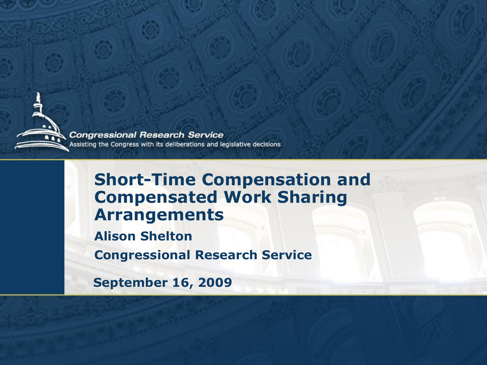

**Congressional Research Service** Assisting the Congress with its deliberations and legislative decisions

#### **Short-Time Compensation and Compensated Work Sharing Arrangements**

**Alison Shelton** 

**Congressional Research Service** 

**September 16, 2009**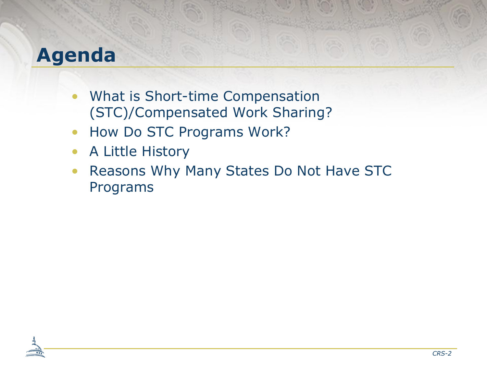### **Agenda**

- What is Short-time Compensation (STC)/Compensated Work Sharing?
- How Do STC Programs Work?
- A Little History
- Reasons Why Many States Do Not Have STC Programs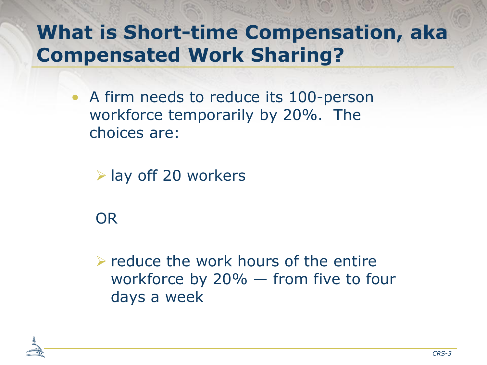# **What is Short-time Compensation, aka Compensated Work Sharing?**

• A firm needs to reduce its 100-person workforce temporarily by 20%. The choices are:

 $\triangleright$  lay off 20 workers

OR

 $\triangleright$  reduce the work hours of the entire workforce by 20% — from five to four days a week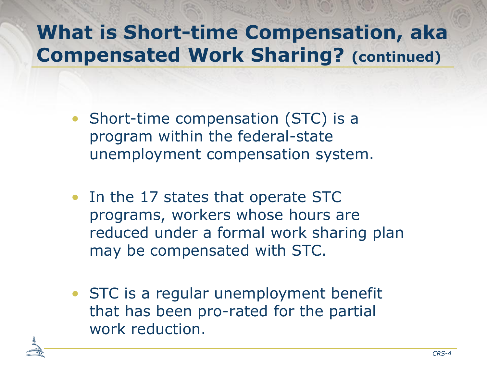# **What is Short-time Compensation, aka Compensated Work Sharing? (continued)**

- Short-time compensation (STC) is a program within the federal-state unemployment compensation system.
- In the 17 states that operate STC programs, workers whose hours are reduced under a formal work sharing plan may be compensated with STC.
- STC is a regular unemployment benefit that has been pro-rated for the partial work reduction.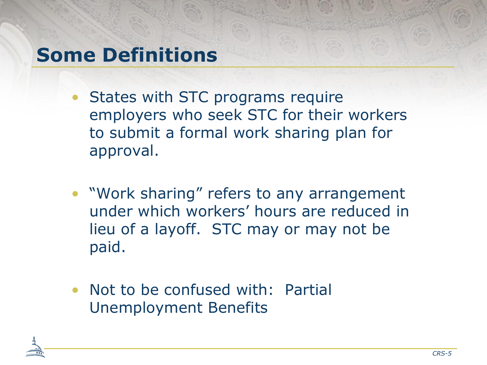### **Some Definitions**

- States with STC programs require employers who seek STC for their workers to submit a formal work sharing plan for approval.
- "Work sharing" refers to any arrangement under which workers' hours are reduced in lieu of a layoff. STC may or may not be paid.
- Not to be confused with: Partial Unemployment Benefits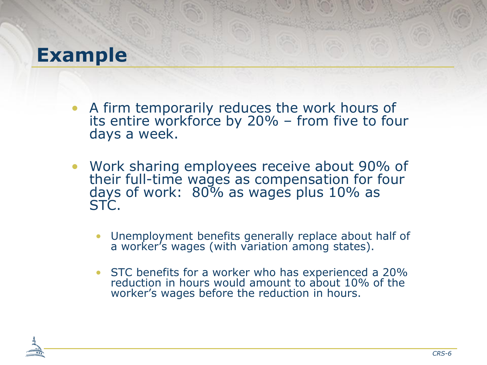#### **Example**

- A firm temporarily reduces the work hours of its entire workforce by 20% – from five to four days a week.
- Work sharing employees receive about 90% of their full-time wages as compensation for four days of work: 80% as wages plus 10% as STC.
	- Unemployment benefits generally replace about half of a worker's wages (with variation among states).
	- STC benefits for a worker who has experienced a 20% reduction in hours would amount to about 10% of the worker's wages before the reduction in hours.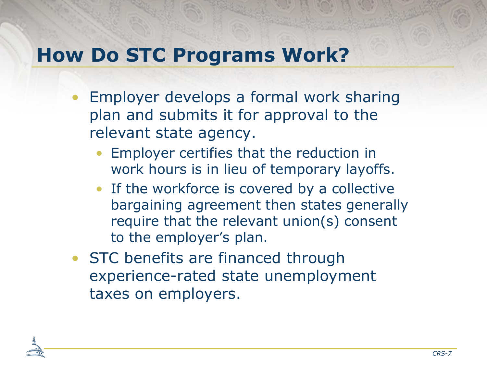## **How Do STC Programs Work?**

- Employer develops a formal work sharing plan and submits it for approval to the relevant state agency.
	- Employer certifies that the reduction in work hours is in lieu of temporary layoffs.
	- If the workforce is covered by a collective bargaining agreement then states generally require that the relevant union(s) consent to the employer's plan.
- STC benefits are financed through experience-rated state unemployment taxes on employers.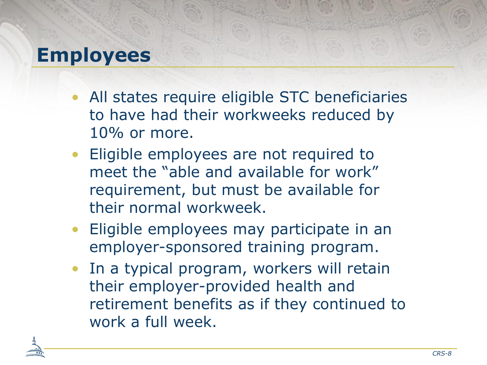### **Employees**

- All states require eligible STC beneficiaries to have had their workweeks reduced by 10% or more.
- Eligible employees are not required to meet the "able and available for work" requirement, but must be available for their normal workweek.
- Eligible employees may participate in an employer-sponsored training program.
- In a typical program, workers will retain their employer-provided health and retirement benefits as if they continued to work a full week.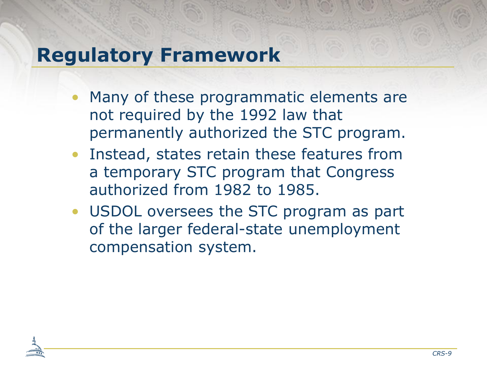## **Regulatory Framework**

- Many of these programmatic elements are not required by the 1992 law that permanently authorized the STC program.
- Instead, states retain these features from a temporary STC program that Congress authorized from 1982 to 1985.
- USDOL oversees the STC program as part of the larger federal-state unemployment compensation system.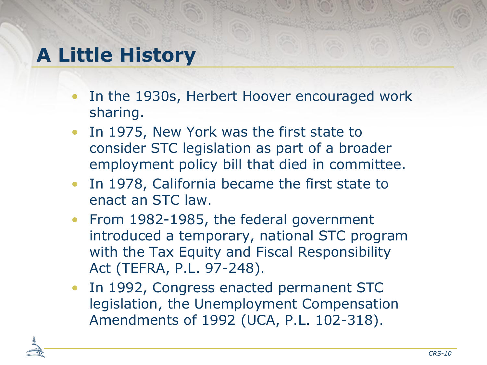## **A Little History**

- In the 1930s, Herbert Hoover encouraged work sharing.
- In 1975, New York was the first state to consider STC legislation as part of a broader employment policy bill that died in committee.
- In 1978, California became the first state to enact an STC law.
- From 1982-1985, the federal government introduced a temporary, national STC program with the Tax Equity and Fiscal Responsibility Act (TEFRA, P.L. 97-248).
- In 1992, Congress enacted permanent STC legislation, the Unemployment Compensation Amendments of 1992 (UCA, P.L. 102-318).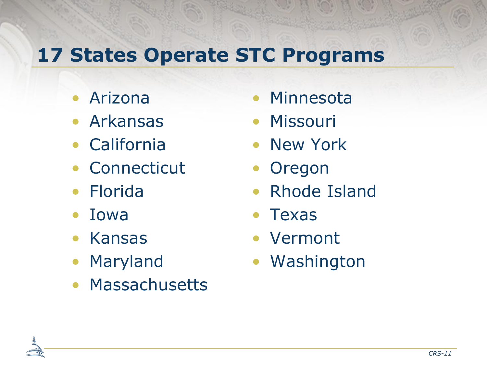# **17 States Operate STC Programs**

- Arizona
- Arkansas
- California
- Connecticut
- Florida
- Iowa
- Kansas
- Maryland
- Massachusetts
- **Minnesota**
- Missouri
- New York
- Oregon
- Rhode Island
- Texas
- Vermont
- Washington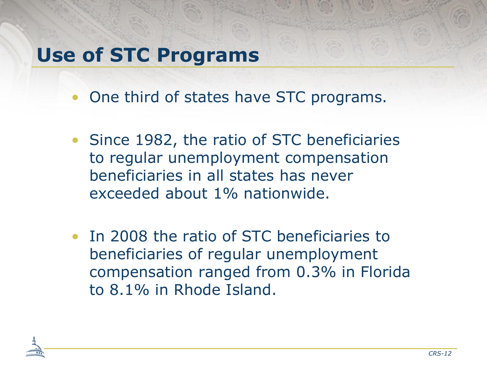### **Use of STC Programs**

- One third of states have STC programs.
- Since 1982, the ratio of STC beneficiaries to regular unemployment compensation beneficiaries in all states has never exceeded about 1% nationwide.
- In 2008 the ratio of STC beneficiaries to beneficiaries of regular unemployment compensation ranged from 0.3% in Florida to 8.1% in Rhode Island.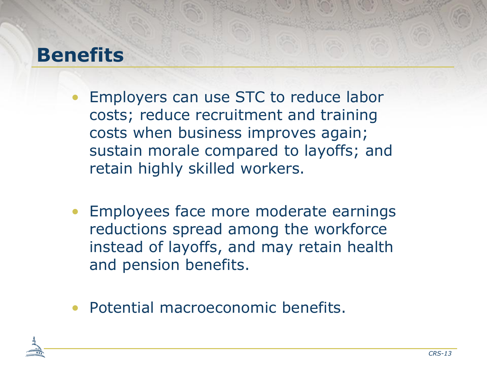### **Benefits**

- Employers can use STC to reduce labor costs; reduce recruitment and training costs when business improves again; sustain morale compared to layoffs; and retain highly skilled workers.
- Employees face more moderate earnings reductions spread among the workforce instead of layoffs, and may retain health and pension benefits.
- Potential macroeconomic benefits.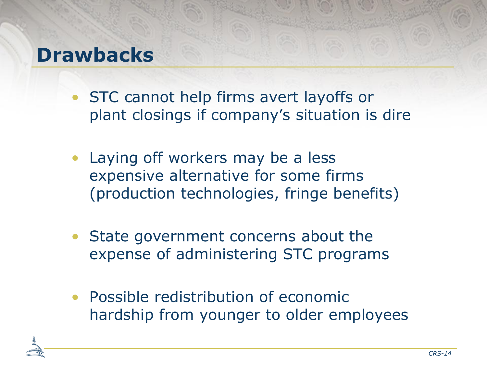#### **Drawbacks**

- STC cannot help firms avert layoffs or plant closings if company's situation is dire
- Laying off workers may be a less expensive alternative for some firms (production technologies, fringe benefits)
- State government concerns about the expense of administering STC programs
- Possible redistribution of economic hardship from younger to older employees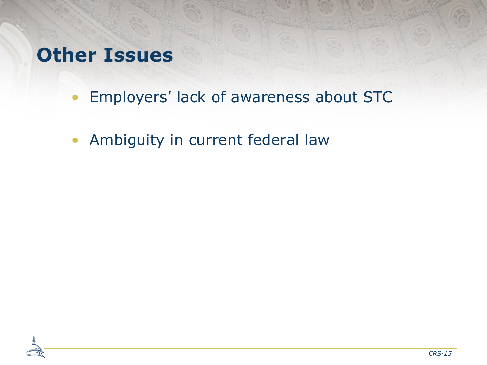#### **Other Issues**

- Employers' lack of awareness about STC
- Ambiguity in current federal law